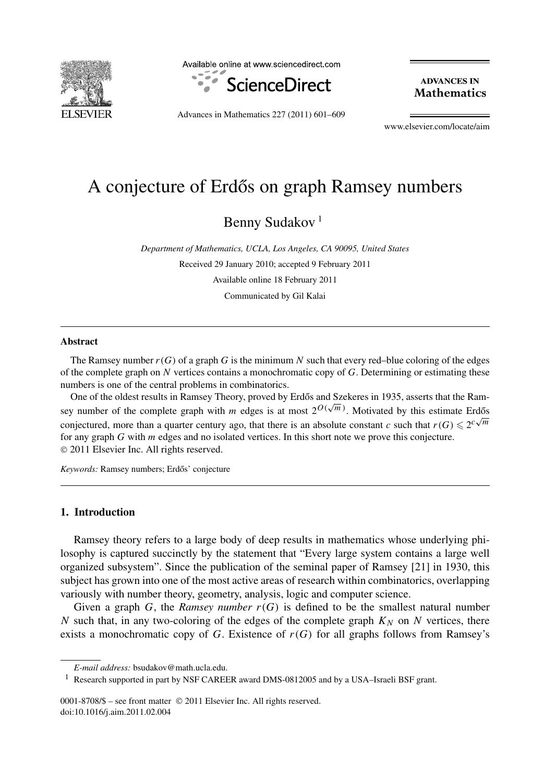

Available online at www.sciencedirect.com



**ADVANCES IN Mathematics** 

Advances in Mathematics 227 (2011) 601–609

www.elsevier.com/locate/aim

# A conjecture of Erdős on graph Ramsey numbers

Benny Sudakov<sup>1</sup>

*Department of Mathematics, UCLA, Los Angeles, CA 90095, United States* Received 29 January 2010; accepted 9 February 2011 Available online 18 February 2011 Communicated by Gil Kalai

## **Abstract**

The Ramsey number  $r(G)$  of a graph G is the minimum N such that every red–blue coloring of the edges of the complete graph on *N* vertices contains a monochromatic copy of *G*. Determining or estimating these numbers is one of the central problems in combinatorics.

One of the oldest results in Ramsey Theory, proved by Erdős and Szekeres in 1935, asserts that the Ramsey number of the complete graph with *m* edges is at most  $2^{O(\sqrt{m})}$ . Motivated by this estimate Erdős conjectured, more than a quarter century ago, that there is an absolute constant *c* such that  $r(G) \leq 2^{c\sqrt{m}}$ for any graph *G* with *m* edges and no isolated vertices. In this short note we prove this conjecture. © 2011 Elsevier Inc. All rights reserved.

Keywords: Ramsey numbers; Erdős' conjecture

# **1. Introduction**

Ramsey theory refers to a large body of deep results in mathematics whose underlying philosophy is captured succinctly by the statement that "Every large system contains a large well organized subsystem". Since the publication of the seminal paper of Ramsey [21] in 1930, this subject has grown into one of the most active areas of research within combinatorics, overlapping variously with number theory, geometry, analysis, logic and computer science.

Given a graph  $G$ , the *Ramsey number*  $r(G)$  is defined to be the smallest natural number *N* such that, in any two-coloring of the edges of the complete graph  $K_N$  on *N* vertices, there exists a monochromatic copy of *G*. Existence of  $r(G)$  for all graphs follows from Ramsey's

0001-8708/\$ – see front matter © 2011 Elsevier Inc. All rights reserved. doi:10.1016/j.aim.2011.02.004

*E-mail address:* bsudakov@math.ucla.edu.

<sup>1</sup> Research supported in part by NSF CAREER award DMS-0812005 and by a USA–Israeli BSF grant.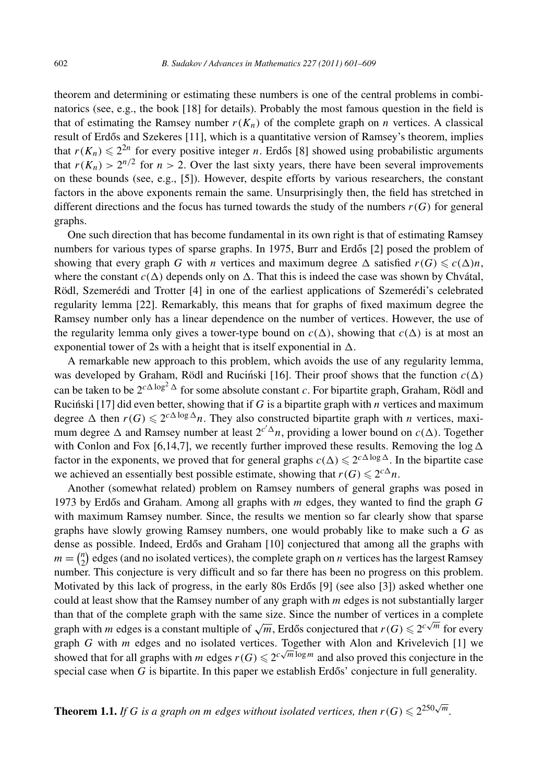theorem and determining or estimating these numbers is one of the central problems in combinatorics (see, e.g., the book [18] for details). Probably the most famous question in the field is that of estimating the Ramsey number  $r(K_n)$  of the complete graph on *n* vertices. A classical result of Erdős and Szekeres [11], which is a quantitative version of Ramsey's theorem, implies that  $r(K_n) \leq 2^{2n}$  for every positive integer *n*. Erdős [8] showed using probabilistic arguments that  $r(K_n) > 2^{n/2}$  for  $n > 2$ . Over the last sixty years, there have been several improvements on these bounds (see, e.g., [5]). However, despite efforts by various researchers, the constant factors in the above exponents remain the same. Unsurprisingly then, the field has stretched in different directions and the focus has turned towards the study of the numbers  $r(G)$  for general graphs.

One such direction that has become fundamental in its own right is that of estimating Ramsey numbers for various types of sparse graphs. In 1975, Burr and Erdős  $[2]$  posed the problem of showing that every graph *G* with *n* vertices and maximum degree  $\Delta$  satisfied  $r(G) \leqslant c(\Delta)n$ , where the constant  $c(\Delta)$  depends only on  $\Delta$ . That this is indeed the case was shown by Chvátal, Rödl, Szemerédi and Trotter [4] in one of the earliest applications of Szemerédi's celebrated regularity lemma [22]. Remarkably, this means that for graphs of fixed maximum degree the Ramsey number only has a linear dependence on the number of vertices. However, the use of the regularity lemma only gives a tower-type bound on  $c(\Delta)$ , showing that  $c(\Delta)$  is at most an exponential tower of 2s with a height that is itself exponential in  $\Delta$ .

A remarkable new approach to this problem, which avoids the use of any regularity lemma, was developed by Graham, Rödl and Rucinski [16]. Their proof shows that the function  $c(\Delta)$ can be taken to be  $2^{c\Delta\log^2\Delta}$  for some absolute constant *c*. For bipartite graph, Graham, Rödl and Rucinski [17] did even better, showing that if  $G$  is a bipartite graph with  $n$  vertices and maximum degree  $\Delta$  then  $r(G) \leq 2^{c\Delta \log \Delta} n$ . They also constructed bipartite graph with *n* vertices, maximum degree  $\Delta$  and Ramsey number at least  $2^{c'\Delta}n$ , providing a lower bound on  $c(\Delta)$ . Together with Conlon and Fox [6,14,7], we recently further improved these results. Removing the  $\log \Delta$ factor in the exponents, we proved that for general graphs  $c(\Delta) \leq 2^{c\Delta \log \Delta}$ . In the bipartite case we achieved an essentially best possible estimate, showing that  $r(G) \leq 2^{c\Delta}n$ .

Another (somewhat related) problem on Ramsey numbers of general graphs was posed in 1973 by Erdős and Graham. Among all graphs with m edges, they wanted to find the graph *G* with maximum Ramsey number. Since, the results we mention so far clearly show that sparse graphs have slowly growing Ramsey numbers, one would probably like to make such a *G* as dense as possible. Indeed, Erdős and Graham [10] conjectured that among all the graphs with  $m = \binom{n}{2}$  $n_2$ ) edges (and no isolated vertices), the complete graph on *n* vertices has the largest Ramsey number. This conjecture is very difficult and so far there has been no progress on this problem. Motivated by this lack of progress, in the early 80s Erdős  $[9]$  (see also  $[3]$ ) asked whether one could at least show that the Ramsey number of any graph with *m* edges is not substantially larger than that of the complete graph with the same size. Since the number of vertices in a complete graph with *m* edges is a constant multiple of  $\sqrt{m}$ , Erdős conjectured that  $r(G) \leq 2^{c\sqrt{m}}$  for every graph *G* with *m* edges and no isolated vertices. Together with Alon and Krivelevich [1] we showed that for all graphs with *m* edges  $r(G) \le 2^{c\sqrt{m}\log m}$  and also proved this conjecture in the special case when *G* is bipartite. In this paper we establish Erdős' conjecture in full generality.

**Theorem 1.1.** *If G is a graph on m edges without isolated vertices, then*  $r(G) \leq 2^{250\sqrt{m}}$ .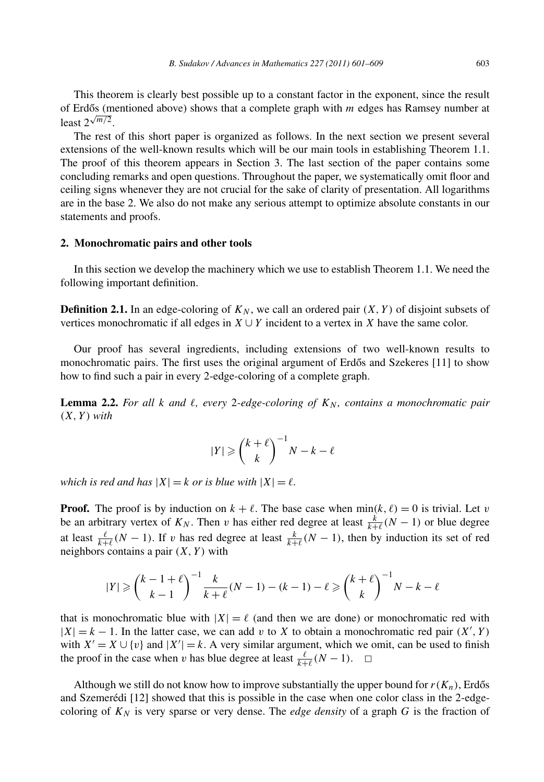This theorem is clearly best possible up to a constant factor in the exponent, since the result of Erdős (mentioned above) shows that a complete graph with *m* edges has Ramsey number at least  $2^{\sqrt{m/2}}$ .

The rest of this short paper is organized as follows. In the next section we present several extensions of the well-known results which will be our main tools in establishing Theorem 1.1. The proof of this theorem appears in Section 3. The last section of the paper contains some concluding remarks and open questions. Throughout the paper, we systematically omit floor and ceiling signs whenever they are not crucial for the sake of clarity of presentation. All logarithms are in the base 2. We also do not make any serious attempt to optimize absolute constants in our statements and proofs.

### **2. Monochromatic pairs and other tools**

In this section we develop the machinery which we use to establish Theorem 1.1. We need the following important definition.

**Definition 2.1.** In an edge-coloring of  $K_N$ , we call an ordered pair  $(X, Y)$  of disjoint subsets of vertices monochromatic if all edges in  $X \cup Y$  incident to a vertex in *X* have the same color.

Our proof has several ingredients, including extensions of two well-known results to monochromatic pairs. The first uses the original argument of Erdős and Szekeres [11] to show how to find such a pair in every 2-edge-coloring of a complete graph.

**Lemma 2.2.** For all *k* and  $\ell$ , every 2-edge-coloring of  $K_N$ , contains a monochromatic pair  $(X, Y)$  *with* 

$$
|Y| \geqslant \binom{k+\ell}{k}^{-1}N-k-\ell
$$

*which is red and has*  $|X| = k$  *or is blue with*  $|X| = \ell$ .

**Proof.** The proof is by induction on  $k + \ell$ . The base case when  $min(k, \ell) = 0$  is trivial. Let *v* be an arbitrary vertex of  $K_N$ . Then *v* has either red degree at least  $\frac{k}{k+\ell}(N-1)$  or blue degree at least  $\frac{\ell}{k+\ell}(N-1)$ . If *v* has red degree at least  $\frac{k}{k+\ell}(N-1)$ , then by induction its set of red neighbors contains a pair  $(X, Y)$  with

$$
|Y| \geq {k-1+\ell \choose k-1}^{-1} \frac{k}{k+\ell} (N-1) - (k-1) - \ell \geq {k+\ell \choose k}^{-1} N - k - \ell
$$

that is monochromatic blue with  $|X| = \ell$  (and then we are done) or monochromatic red with  $|X| = k - 1$ . In the latter case, we can add *v* to *X* to obtain a monochromatic red pair  $(X', Y)$ with  $X' = X \cup \{v\}$  and  $|X'| = k$ . A very similar argument, which we omit, can be used to finish the proof in the case when *v* has blue degree at least  $\frac{\ell}{k+\ell}(N-1)$ .  $\Box$ 

Although we still do not know how to improve substantially the upper bound for  $r(K_n)$ , Erdős and Szemerédi [12] showed that this is possible in the case when one color class in the 2-edgecoloring of  $K_N$  is very sparse or very dense. The *edge density* of a graph  $G$  is the fraction of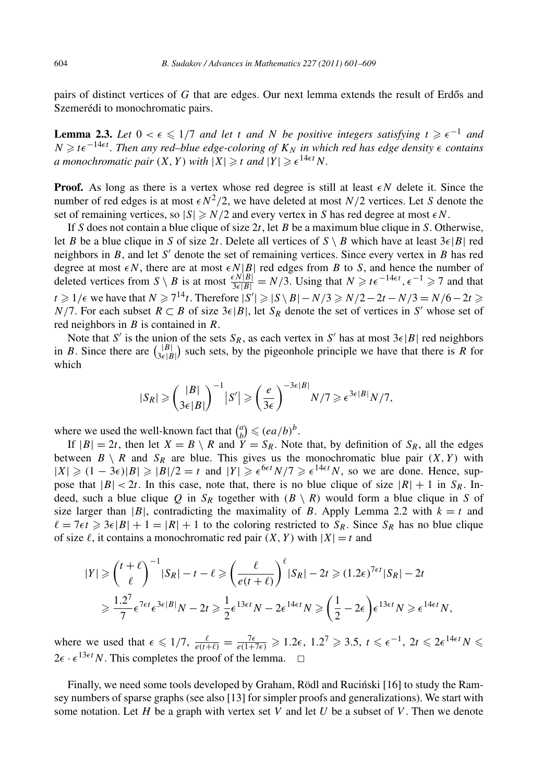pairs of distinct vertices of G that are edges. Our next lemma extends the result of Erdős and Szemerédi to monochromatic pairs.

**Lemma 2.3.** *Let*  $0 < \epsilon \leq 1/7$  *and let t and N be positive integers satisfying*  $t \geq \epsilon^{-1}$  *and N*  $\geq$  *t* $\epsilon^{-14\epsilon t}$ . Then any red–blue edge-coloring of  $K_N$  in which red has edge density  $\epsilon$  contains *a* monochromatic pair  $(X, Y)$  with  $|X| \ge t$  and  $|Y| \ge \epsilon^{14\epsilon t} N$ .

**Proof.** As long as there is a vertex whose red degree is still at least  $\epsilon N$  delete it. Since the number of red edges is at most  $\epsilon N^2/2$ , we have deleted at most  $N/2$  vertices. Let *S* denote the set of remaining vertices, so  $|S| \ge N/2$  and every vertex in *S* has red degree at most  $\epsilon N$ .

If *S* does not contain a blue clique of size 2*t*, let *B* be a maximum blue clique in *S*. Otherwise, let *B* be a blue clique in *S* of size 2*t*. Delete all vertices of  $S \setminus B$  which have at least  $3\epsilon |B|$  red neighbors in  $B$ , and let  $S'$  denote the set of remaining vertices. Since every vertex in  $B$  has red degree at most  $\epsilon N$ , there are at most  $\epsilon N |B|$  red edges from *B* to *S*, and hence the number of deleted vertices from  $S \setminus B$  is at most  $\frac{\epsilon N|B|}{3\epsilon|B|} = N/3$ . Using that  $N \ge t \epsilon^{-14\epsilon t}, \epsilon^{-1} \ge 7$  and that *t* ≥ 1/ $\epsilon$  we have that *N* ≥ 7<sup>14</sup>*t*. Therefore  $|S'|$  ≥  $|S \setminus B| - N/3$  ≥  $N/2 - 2t - N/3 = N/6 - 2t$  ≥ *N/*7. For each subset  $R \subset B$  of size  $3\epsilon |B|$ , let  $S_R$  denote the set of vertices in *S'* whose set of red neighbors in *B* is contained in *R*.

Note that *S'* is the union of the sets  $S_R$ , as each vertex in *S'* has at most  $3\epsilon |B|$  red neighbors in *B*. Since there are  $\binom{|B|}{3\epsilon}$  $\binom{|B|}{3\epsilon|B|}$  such sets, by the pigeonhole principle we have that there is *R* for which

$$
|S_R| \geqslant \left(\frac{|B|}{3\epsilon|B|}\right)^{-1} |S'| \geqslant \left(\frac{e}{3\epsilon}\right)^{-3\epsilon|B|} N/7 \geqslant \epsilon^{3\epsilon|B|} N/7,
$$

where we used the well-known fact that  $\binom{a}{b}$  $\binom{a}{b} \leqslant (ea/b)^b.$ 

If  $|B| = 2t$ , then let  $X = B \setminus R$  and  $Y = S_R$ . Note that, by definition of  $S_R$ , all the edges between  $B \setminus R$  and  $S_R$  are blue. This gives us the monochromatic blue pair  $(X, Y)$  with  $|X| \geq (1 - 3\epsilon)|B| \geq |B|/2 = t$  and  $|Y| \geq \epsilon^{6\epsilon t} N/7 \geq \epsilon^{14\epsilon t} N$ , so we are done. Hence, suppose that  $|B| < 2t$ . In this case, note that, there is no blue clique of size  $|R| + 1$  in  $S_R$ . Indeed, such a blue clique *Q* in  $S_R$  together with  $(B \setminus R)$  would form a blue clique in *S* of size larger than  $|B|$ , contradicting the maximality of *B*. Apply Lemma 2.2 with  $k = t$  and  $\ell = 7\epsilon t \geqslant 3\epsilon |B| + 1 = |R| + 1$  to the coloring restricted to  $S_R$ . Since  $S_R$  has no blue clique of size  $\ell$ , it contains a monochromatic red pair  $(X, Y)$  with  $|X| = t$  and

$$
|Y| \ge \left(\frac{t+\ell}{\ell}\right)^{-1} |S_R| - t - \ell \ge \left(\frac{\ell}{e(t+\ell)}\right)^{\ell} |S_R| - 2t \ge (1.2\epsilon)^{7\epsilon t} |S_R| - 2t
$$
  

$$
\ge \frac{1.2^7}{7} \epsilon^{7\epsilon t} \epsilon^{3\epsilon|B|} N - 2t \ge \frac{1}{2} \epsilon^{13\epsilon t} N - 2\epsilon^{14\epsilon t} N \ge \left(\frac{1}{2} - 2\epsilon\right) \epsilon^{13\epsilon t} N \ge \epsilon^{14\epsilon t} N,
$$

where we used that  $\epsilon \leq 1/7$ ,  $\frac{\ell}{e(t+\ell)} = \frac{7\epsilon}{e(1+7\epsilon)} \geq 1.2\epsilon$ ,  $1.2^7 \geq 3.5$ ,  $t \leq \epsilon^{-1}$ ,  $2t \leq 2\epsilon^{14\epsilon t} N \leq$  $2\epsilon \cdot \epsilon^{13\epsilon t} N$ . This completes the proof of the lemma.  $\Box$ 

Finally, we need some tools developed by Graham, Rödl and Rucinski [16] to study the Ramsey numbers of sparse graphs (see also [13] for simpler proofs and generalizations). We start with some notation. Let *H* be a graph with vertex set *V* and let *U* be a subset of *V* . Then we denote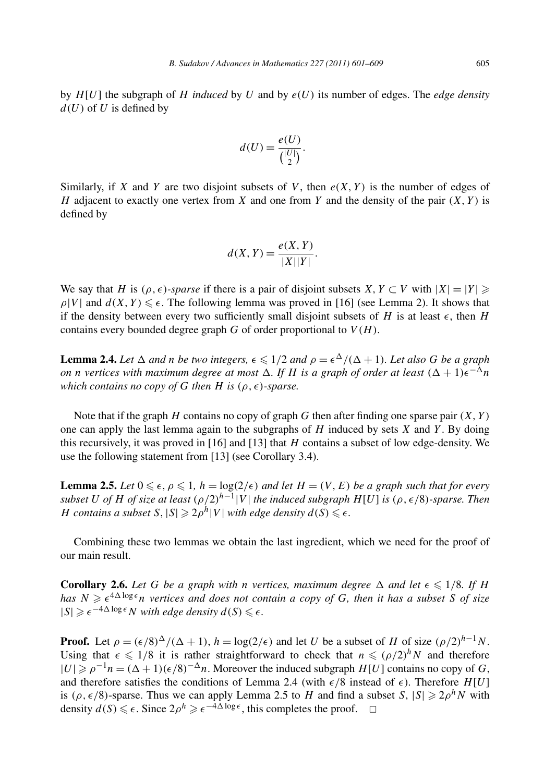by *H*[*U*] the subgraph of *H induced* by *U* and by *e(U )* its number of edges. The *edge density*  $d(U)$  of U is defined by

$$
d(U) = \frac{e(U)}{\binom{|U|}{2}}.
$$

Similarly, if *X* and *Y* are two disjoint subsets of *V*, then  $e(X, Y)$  is the number of edges of *H* adjacent to exactly one vertex from *X* and one from *Y* and the density of the pair  $(X, Y)$  is defined by

$$
d(X, Y) = \frac{e(X, Y)}{|X||Y|}.
$$

We say that *H* is  $(\rho, \epsilon)$ *-sparse* if there is a pair of disjoint subsets *X*, *Y* ⊂ *V* with  $|X| = |Y| \ge$  $\rho|V|$  and  $d(X, Y) \leq \epsilon$ . The following lemma was proved in [16] (see Lemma 2). It shows that if the density between every two sufficiently small disjoint subsets of *H* is at least  $\epsilon$ , then *H* contains every bounded degree graph  $G$  of order proportional to  $V(H)$ .

**Lemma 2.4.** Let  $\Delta$  and *n* be two integers,  $\epsilon \leq 1/2$  and  $\rho = \epsilon^{\Delta}/(\Delta + 1)$ . Let also G be a graph *on n vertices with maximum degree at most*  $\Delta$ *. If H is a graph of order at least*  $(\Delta + 1)\epsilon^{-\Delta}n$ *which contains no copy of G then H is*  $(\rho, \epsilon)$ -sparse.

Note that if the graph *H* contains no copy of graph *G* then after finding one sparse pair *(X, Y )* one can apply the last lemma again to the subgraphs of *H* induced by sets *X* and *Y* . By doing this recursively, it was proved in [16] and [13] that *H* contains a subset of low edge-density. We use the following statement from [13] (see Corollary 3.4).

**Lemma 2.5.** *Let*  $0 \le \epsilon$ ,  $\rho \le 1$ ,  $h = \log(2/\epsilon)$  *and let*  $H = (V, E)$  *be a graph such that for every subset U of H of size at least*  $(\rho/2)^{h-1}|V|$  *the induced subgraph H*[*U*] *is*  $(\rho, \epsilon/8)$ *-sparse. Then H contains a subset*  $S$ ,  $|S| \ge 2\rho^h |V|$  *with edge density*  $d(S) \le \epsilon$ .

Combining these two lemmas we obtain the last ingredient, which we need for the proof of our main result.

**Corollary 2.6.** Let G be a graph with *n* vertices, maximum degree  $\Delta$  and let  $\epsilon \leq 1/8$ . If H *has*  $N \geqslant \epsilon^{4\Delta \log \epsilon} n$  vertices and does not contain a copy of G, then it has a subset S of size  $|S| \geqslant \epsilon^{-4\Delta \log \epsilon} N$  *with edge density*  $d(S) \leqslant \epsilon$ .

**Proof.** Let  $\rho = (\epsilon/8)^{\Delta}/(\Delta+1)$ ,  $h = \log(2/\epsilon)$  and let *U* be a subset of *H* of size  $(\rho/2)^{h-1}N$ . Using that  $\epsilon \leq 1/8$  it is rather straightforward to check that  $n \leq (\rho/2)^h N$  and therefore  $|U|$  ≥  $\rho^{-1}n = (\Delta + 1)(\epsilon/8)^{-\Delta}n$ . Moreover the induced subgraph *H*[*U*] contains no copy of *G*, and therefore satisfies the conditions of Lemma 2.4 (with  $\epsilon/8$  instead of  $\epsilon$ ). Therefore  $H[U]$ is  $(\rho, \epsilon/8)$ -sparse. Thus we can apply Lemma 2.5 to *H* and find a subset *S*,  $|S| \ge 2\rho^h N$  with density  $d(S) \leq \epsilon$ . Since  $2\rho^h \geq \epsilon^{-4\Delta \log \epsilon}$ , this completes the proof.  $\Box$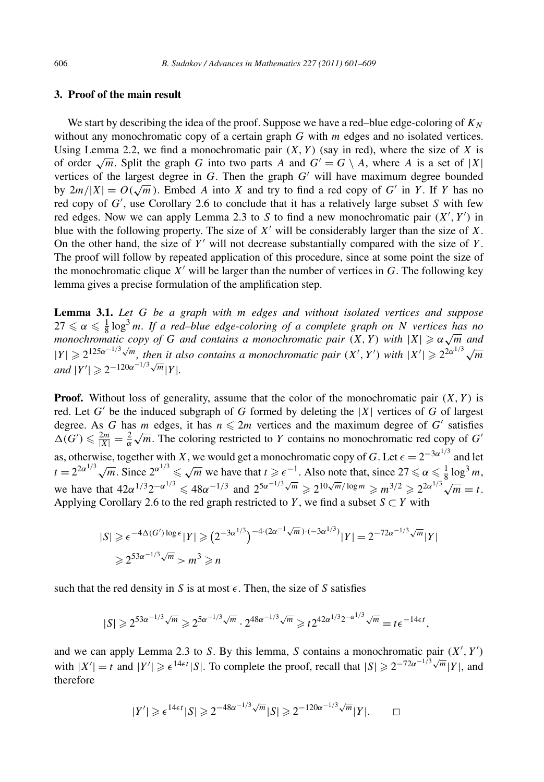# **3. Proof of the main result**

We start by describing the idea of the proof. Suppose we have a red–blue edge-coloring of  $K_N$ without any monochromatic copy of a certain graph *G* with *m* edges and no isolated vertices. Using Lemma 2.2, we find a monochromatic pair  $(X, Y)$  (say in red), where the size of X is of order  $\sqrt{m}$ . Split the graph *G* into two parts *A* and  $G' = G \setminus A$ , where *A* is a set of |*X*| vertices of the largest degree in  $G$ . Then the graph  $G'$  will have maximum degree bounded by  $2m/|X| = O(\sqrt{m})$ . Embed *A* into *X* and try to find a red copy of *G'* in *Y*. If *Y* has no red copy of *G* , use Corollary 2.6 to conclude that it has a relatively large subset *S* with few red edges. Now we can apply Lemma 2.3 to *S* to find a new monochromatic pair  $(X', Y')$  in blue with the following property. The size of  $X'$  will be considerably larger than the size of  $X$ . On the other hand, the size of *Y* will not decrease substantially compared with the size of *Y* . The proof will follow by repeated application of this procedure, since at some point the size of the monochromatic clique  $X'$  will be larger than the number of vertices in  $G$ . The following key lemma gives a precise formulation of the amplification step.

**Lemma 3.1.** *Let G be a graph with m edges and without isolated vertices and suppose*  $27 \le \alpha \le \frac{1}{8} \log^3 m$ . If a red–blue edge-coloring of a complete graph on N vertices has no  $\alpha \leq \frac{1}{8}$  is  $\frac{1}{8}$  is  $\frac{1}{8}$  *a i d rea–blue* eage-coloring by a complete graph on *N* vertices has no<br>monochromatic copy of G and contains a monochromatic pair  $(X, Y)$  with  $|X| \geq \alpha \sqrt{m}$  and  $|Y| \ge 2^{125\alpha^{-1/3}\sqrt{m}}$ , then it also contains a monochromatic pair  $(X', Y')$  with  $|X'| \ge 2^{2\alpha^{1/3}\sqrt{m}}$  $|Y'| \ge 2^{-120\alpha^{-1/3}\sqrt{m}}|Y|.$ 

**Proof.** Without loss of generality, assume that the color of the monochromatic pair *(X, Y )* is red. Let  $G'$  be the induced subgraph of  $G$  formed by deleting the  $|X|$  vertices of  $G$  of largest degree. As *G* has *m* edges, it has  $n \le 2m$  vertices and the maximum degree of *G'* satisfies degree. As  $G$  has *m* edges, it has  $n \le 2m$  vertices and the maximum degree of  $G$  sausites  $\Delta(G') \le \frac{2m}{|X|} = \frac{2}{\alpha} \sqrt{m}$ . The coloring restricted to *Y* contains no monochromatic red copy of *G'* as, otherwise, together with *X*, we would get a monochromatic copy of *G*. Let  $\epsilon = 2^{-3\alpha^{1/3}}$  and let  $t = 2^{2\alpha^{1/3}}\sqrt{m}$ . Since  $2^{\alpha^{1/3}} \le \sqrt{m}$  we have that  $t \ge \epsilon^{-1}$ . Also note that, since  $27 \le \alpha \le \frac{1}{8} \log^3 m$ , we have that  $42\alpha^{1/3}2^{-\alpha^{1/3}} \le 48\alpha^{-1/3}$  and  $2^{5\alpha^{-1/3}\sqrt{m}} \ge 2^{10\sqrt{m}/\log m} \ge m^{3/2} \ge 2^{2\alpha^{1/3}\sqrt{m}} = t$ . Applying Corollary 2.6 to the red graph restricted to *Y*, we find a subset  $S \subset Y$  with

$$
|S| \ge \epsilon^{-4\Delta(G')\log\epsilon} |Y| \ge (2^{-3\alpha^{1/3}})^{-4\cdot(2\alpha^{-1}\sqrt{m})\cdot(-3\alpha^{1/3})} |Y| = 2^{-72\alpha^{-1/3}\sqrt{m}} |Y|
$$
  
\n
$$
\ge 2^{53\alpha^{-1/3}\sqrt{m}} > m^3 \ge n
$$

such that the red density in *S* is at most  $\epsilon$ . Then, the size of *S* satisfies

$$
|S| \geq 2^{53\alpha^{-1/3}\sqrt{m}} \geq 2^{5\alpha^{-1/3}\sqrt{m}} \cdot 2^{48\alpha^{-1/3}\sqrt{m}} \geq t2^{42\alpha^{1/3}2^{-\alpha^{1/3}}\sqrt{m}} = t\epsilon^{-14\epsilon t},
$$

and we can apply Lemma 2.3 to *S*. By this lemma, *S* contains a monochromatic pair *(X , Y )* with  $|X'| = t$  and  $|Y'| \ge e^{14\epsilon t} |S|$ . To complete the proof, recall that  $|S| \ge 2^{-72\alpha^{-1/3}\sqrt{m}} |Y|$ , and therefore

$$
|Y'| \geq \epsilon^{14\epsilon t} |S| \geq 2^{-48\alpha^{-1/3}\sqrt{m}} |S| \geq 2^{-120\alpha^{-1/3}\sqrt{m}} |Y|.
$$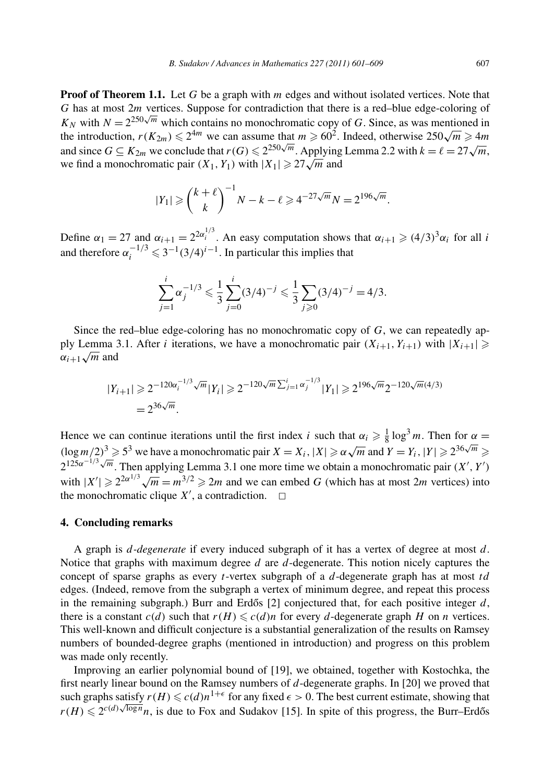**Proof of Theorem 1.1.** Let *G* be a graph with *m* edges and without isolated vertices. Note that *G* has at most 2*m* vertices. Suppose for contradiction that there is a red–blue edge-coloring of  $K_N$  with  $N = 2^{250\sqrt{m}}$  which contains no monochromatic copy of *G*. Since, as was mentioned in  $K_N$  with  $N \equiv 2$  and which contains no monochromatic copy of G. Since, as was mentioned in the introduction,  $r(K_{2m}) \le 2^{4m}$  we can assume that  $m \ge 60^2$ . Indeed, otherwise  $250\sqrt{m} \ge 4m$ and since  $G \subseteq K_{2m}$  we conclude that  $r(G) \leq 2^{250\sqrt{m}}$ . Applying Lemma 2.2 with  $k = \ell = 27\sqrt{m}$ , we find a monochromatic pair  $(X_1, Y_1)$  with  $|X_1| \geq 27\sqrt{m}$  and

$$
|Y_1| \ge \binom{k+\ell}{k}^{-1}N - k - \ell \ge 4^{-27\sqrt{m}}N = 2^{196\sqrt{m}}.
$$

Define  $\alpha_1 = 27$  and  $\alpha_{i+1} = 2^{2\alpha_i^{1/3}}$ . An easy computation shows that  $\alpha_{i+1} \geq (4/3)^3 \alpha_i$  for all *i* and therefore  $\alpha_i^{-1/3} \leq 3^{-1} (3/4)^{i-1}$ . In particular this implies that

$$
\sum_{j=1}^{i} \alpha_j^{-1/3} \leq \frac{1}{3} \sum_{j=0}^{i} (3/4)^{-j} \leq \frac{1}{3} \sum_{j \geq 0} (3/4)^{-j} = 4/3.
$$

Since the red–blue edge-coloring has no monochromatic copy of *G*, we can repeatedly apply Lemma 3.1. After *i* iterations, we have a monochromatic pair  $(X_{i+1}, Y_{i+1})$  with  $|X_{i+1}| \geqslant$  $\alpha_{i+1} \sqrt{m}$  and

$$
|Y_{i+1}| \geq 2^{-120\alpha_i^{-1/3}\sqrt{m}} |Y_i| \geq 2^{-120\sqrt{m}\sum_{j=1}^i \alpha_j^{-1/3}} |Y_1| \geq 2^{196\sqrt{m}} 2^{-120\sqrt{m}(4/3)}
$$
  
=  $2^{36\sqrt{m}}$ .

Hence we can continue iterations until the first index *i* such that  $\alpha_i \geq \frac{1}{8} \log^3 m$ . Then for  $\alpha$  $(\log m/2)^3 \ge 5^3$  we have a monochromatic pair  $X = X_i$ ,  $|X| \ge \alpha \sqrt{m}$  and  $Y = Y_i$ ,  $|Y| \ge 2^{36\sqrt{m}} \ge 0$  $2^{125\alpha^{-1/3}\sqrt{m}}$ . Then applying Lemma 3.1 one more time we obtain a monochromatic pair  $(X', Y')$ with  $|X'| \ge 2^{2\alpha^{1/3}}\sqrt{m} = m^{3/2} \ge 2m$  and we can embed *G* (which has at most 2*m* vertices) into the monochromatic clique  $X'$ , a contradiction.  $\Box$ 

## **4. Concluding remarks**

A graph is *d-degenerate* if every induced subgraph of it has a vertex of degree at most *d*. Notice that graphs with maximum degree *d* are *d*-degenerate. This notion nicely captures the concept of sparse graphs as every *t*-vertex subgraph of a *d*-degenerate graph has at most *td* edges. (Indeed, remove from the subgraph a vertex of minimum degree, and repeat this process in the remaining subgraph.) Burr and Erdős  $[2]$  conjectured that, for each positive integer  $d$ , there is a constant  $c(d)$  such that  $r(H) \leqslant c(d)n$  for every *d*-degenerate graph *H* on *n* vertices. This well-known and difficult conjecture is a substantial generalization of the results on Ramsey numbers of bounded-degree graphs (mentioned in introduction) and progress on this problem was made only recently.

Improving an earlier polynomial bound of [19], we obtained, together with Kostochka, the first nearly linear bound on the Ramsey numbers of *d*-degenerate graphs. In [20] we proved that such graphs satisfy  $r(H) \leqslant c(d)n^{1+\epsilon}$  for any fixed  $\epsilon > 0$ . The best current estimate, showing that  $r(H) \leq 2^{c(d)\sqrt{\log n}} n$ , is due to Fox and Sudakov [15]. In spite of this progress, the Burr–Erdős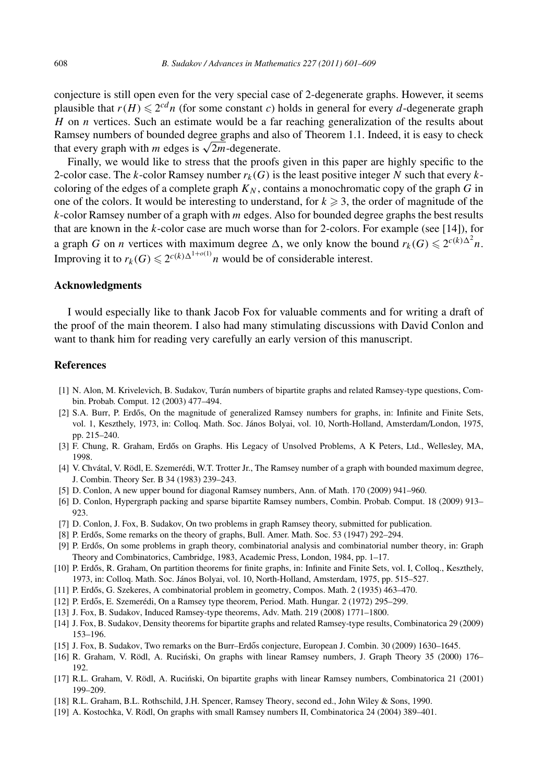conjecture is still open even for the very special case of 2-degenerate graphs. However, it seems plausible that  $r(H) \le 2^{cd}n$  (for some constant *c*) holds in general for every *d*-degenerate graph *H* on *n* vertices. Such an estimate would be a far reaching generalization of the results about Ramsey numbers of bounded degree graphs and also of Theorem 1.1. Indeed, it is easy to check that every graph with *m* edges is  $\sqrt{2m}$ -degenerate.

Finally, we would like to stress that the proofs given in this paper are highly specific to the 2-color case. The *k*-color Ramsey number  $r_k(G)$  is the least positive integer N such that every  $k$ coloring of the edges of a complete graph  $K_N$ , contains a monochromatic copy of the graph *G* in one of the colors. It would be interesting to understand, for  $k \geqslant 3$ , the order of magnitude of the *k*-color Ramsey number of a graph with *m* edges. Also for bounded degree graphs the best results that are known in the *k*-color case are much worse than for 2-colors. For example (see [14]), for a graph *G* on *n* vertices with maximum degree  $\Delta$ , we only know the bound  $r_k(G) \leq 2^{c(k)\Delta^2}n$ . Improving it to  $r_k(G) \leq 2^{c(k)\Delta^{1+o(1)}}n$  would be of considerable interest.

### **Acknowledgments**

I would especially like to thank Jacob Fox for valuable comments and for writing a draft of the proof of the main theorem. I also had many stimulating discussions with David Conlon and want to thank him for reading very carefully an early version of this manuscript.

#### **References**

- [1] N. Alon, M. Krivelevich, B. Sudakov, Turán numbers of bipartite graphs and related Ramsey-type questions, Combin. Probab. Comput. 12 (2003) 477–494.
- [2] S.A. Burr, P. Erdős, On the magnitude of generalized Ramsey numbers for graphs, in: Infinite and Finite Sets, vol. 1, Keszthely, 1973, in: Colloq. Math. Soc. János Bolyai, vol. 10, North-Holland, Amsterdam/London, 1975, pp. 215–240.
- [3] F. Chung, R. Graham, Erdős on Graphs. His Legacy of Unsolved Problems, A K Peters, Ltd., Wellesley, MA, 1998.
- [4] V. Chvátal, V. Rödl, E. Szemerédi, W.T. Trotter Jr., The Ramsey number of a graph with bounded maximum degree, J. Combin. Theory Ser. B 34 (1983) 239–243.
- [5] D. Conlon, A new upper bound for diagonal Ramsey numbers, Ann. of Math. 170 (2009) 941–960.
- [6] D. Conlon, Hypergraph packing and sparse bipartite Ramsey numbers, Combin. Probab. Comput. 18 (2009) 913– 923.
- [7] D. Conlon, J. Fox, B. Sudakov, On two problems in graph Ramsey theory, submitted for publication.
- [8] P. Erdős, Some remarks on the theory of graphs, Bull. Amer. Math. Soc. 53 (1947) 292–294.
- [9] P. Erdős, On some problems in graph theory, combinatorial analysis and combinatorial number theory, in: Graph Theory and Combinatorics, Cambridge, 1983, Academic Press, London, 1984, pp. 1–17.
- [10] P. Erdős, R. Graham, On partition theorems for finite graphs, in: Infinite and Finite Sets, vol. I, Colloq., Keszthely, 1973, in: Colloq. Math. Soc. János Bolyai, vol. 10, North-Holland, Amsterdam, 1975, pp. 515–527.
- [11] P. Erdős, G. Szekeres, A combinatorial problem in geometry, Compos. Math. 2 (1935) 463–470.
- [12] P. Erdős, E. Szemerédi, On a Ramsey type theorem, Period. Math. Hungar. 2 (1972) 295–299.
- [13] J. Fox, B. Sudakov, Induced Ramsey-type theorems, Adv. Math. 219 (2008) 1771–1800.
- [14] J. Fox, B. Sudakov, Density theorems for bipartite graphs and related Ramsey-type results, Combinatorica 29 (2009) 153–196.
- [15] J. Fox, B. Sudakov, Two remarks on the Burr–Erdős conjecture, European J. Combin. 30 (2009) 1630–1645.
- [16] R. Graham, V. Rödl, A. Ruciński, On graphs with linear Ramsey numbers, J. Graph Theory 35 (2000) 176– 192.
- [17] R.L. Graham, V. Rödl, A. Ruciński, On bipartite graphs with linear Ramsey numbers, Combinatorica 21 (2001) 199–209.
- [18] R.L. Graham, B.L. Rothschild, J.H. Spencer, Ramsey Theory, second ed., John Wiley & Sons, 1990.
- [19] A. Kostochka, V. Rödl, On graphs with small Ramsey numbers II, Combinatorica 24 (2004) 389–401.